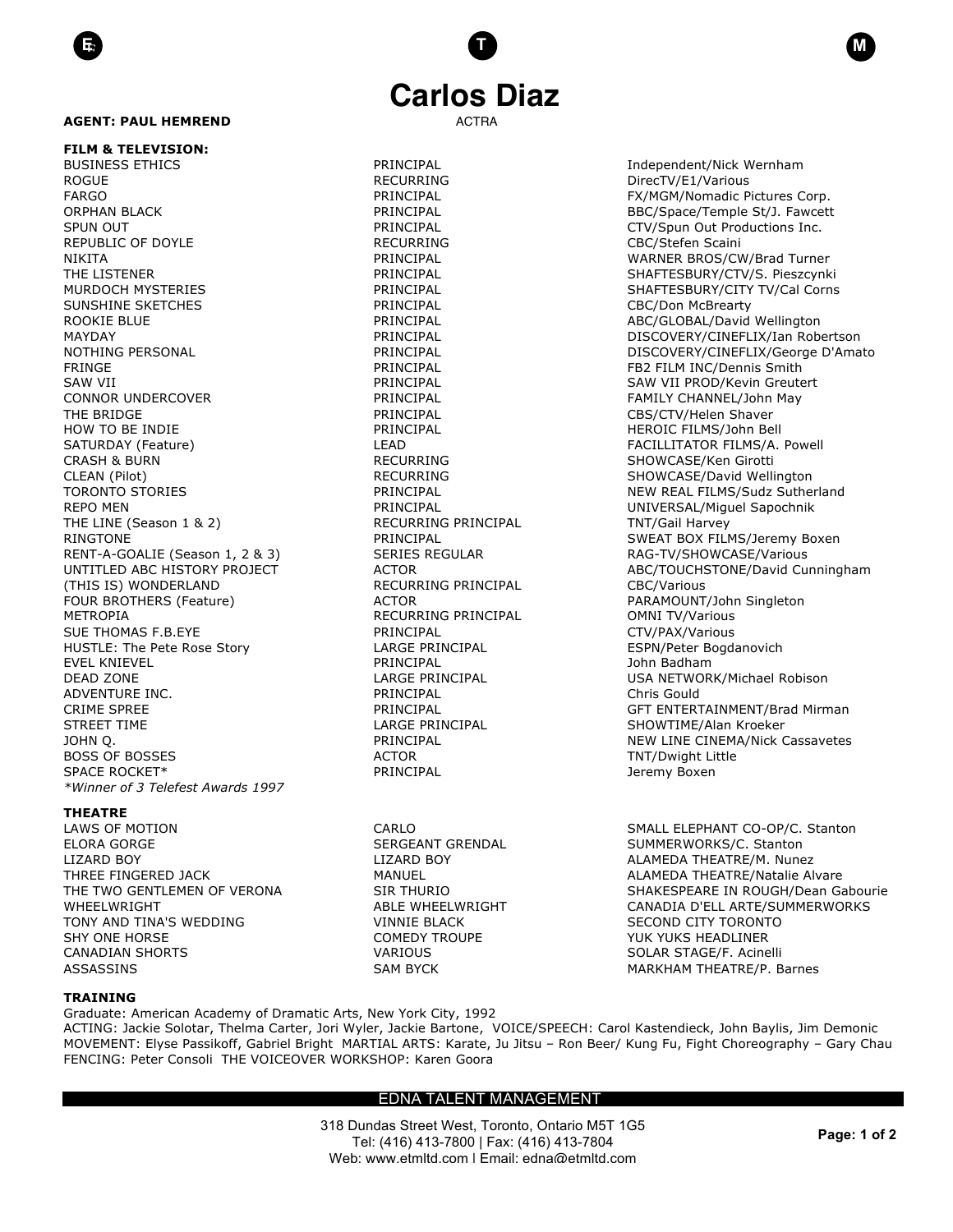### **AGENT: PAUL HEMREND**

**FILM & TELEVISION:** BUSINESS ETHICS **EXECUTE:** PRINCIPAL PRINCIPAL **Independent/Nick Wernham** ROGUE THE RECURRING RECURRING DirecTV/E1/Various FARGO **FARGO PRINCIPAL PRINCIPAL FX/MGM/Nomadic Pictures Corp.** ORPHAN BLACK **EXECUTE:** PRINCIPAL PRINCIPAL BBC/Space/Temple St/J. Fawcett SPUN OUT THE PRINCIPAL PRINCIPAL CTV/Spun Out Productions Inc. REPUBLIC OF DOYLE **RECURRING** RECURRING CBC/Stefen Scaini NIKITA PRINCIPAL WARNER BROS/CW/Brad Turner THE LISTENER **EXECUTE PRINCIPAL SHAFTESBURY/CTV/S. Pieszcynki** MURDOCH MYSTERIES **All PRINCIPAL SHAFTESBURY/CITY TV/Cal Corns** SUNSHINE SKETCHES **Example 20 FOSSILE CBC/Don McBrearty** PRINCIPAL **CBC/Don McBrearty** ROOKIE BLUE **ABC/GLOBAL/David Wellington** PRINCIPAL **ABC/GLOBAL/David Wellington** FRINGE FRINGE **FRINGE PRINCIPAL FB2 FILM INC/Dennis Smith** SAW VII CHARGE SAW VII PROD/Kevin Greutert CONNOR UNDERCOVER THE PRINCIPAL PRINCIPAL TEAMILY CHANNEL/John May THE BRIDGE THE BRIDGE THE STATE STATE RESOLUTION OF PRINCIPAL THE SOLUTION CBS/CTV/Helen Shaver HOW TO BE INDIE THE RESERVE TO A RESERVE THE PRINCIPAL THE HEROIC FILMS/John Bell SATURDAY (Feature) The Research CLEAD FACILLITATOR FILMS/A. Powell CRASH & BURN GORD CRASH & BURN RECURRING SHOWCASE/Ken Girotti CLEAN (Pilot) **RECURRING** RECURRING SHOWCASE/David Wellington REPO MEN PRINCIPAL PRINCIPAL CONTROLLED MESSAL/Miquel Sapochnik THE LINE (Season 1 & 2) THE RECURRING PRINCIPAL TRITIGAL TIME (Season 1 & 2) RINGTONE THE PRINCIPAL PRINCIPAL SWEAT BOX FILMS/Jeremy Boxen RENT-A-GOALIE (Season 1, 2 & 3) SERIES REGULAR RAG-TV/SHOWCASE/Various (THIS IS) WONDERLAND RECURRING PRINCIPAL CBC/Various METROPIA **RECURRING PRINCIPAL** OMNI TV/Various SUE THOMAS F.B.EYE **All and SUE ACTION** PRINCIPAL **CTV/PAX/Various** PRINCIPAL HUSTLE: The Pete Rose Story **LARGE PRINCIPAL** ESPN/Peter Bogdanovich EVEL KNIEVEL PRINCIPAL John Badham DEAD ZONE LARGE PRINCIPAL USA NETWORK/Michael Robison ADVENTURE INC. The Christian Christian Chris Gould by PRINCIPAL Chris Gould Chris Gould STREET TIME LARGE PRINCIPAL STREET TIME And the SHOWTIME/Alan Kroeker BOSS OF BOSSES ACTOR ACTOR TNT/Dwight Little SPACE ROCKET\* The PRINCIPAL CONTROL PRINCIPAL SPACE ROCKET AND A SERVER AND RESPONDENTLY DETERMINIST ON A SERVER AND A SERVER AND RESPONDENTLY A SERVER AND RESPONDENTLY A SERVER AND RESPONDENTLY A SERVER AND RESPONDENTLY A *\*Winner of 3 Telefest Awards 1997*

#### **THEATRE**

ELORA GORGE SERGEANT GRENDAL SERGEANT GRENDAL SUMMERWORKS/C. Stanton LIZARD BOY LIZARD BOY ALAMEDA THEATRE/M. Nunez TONY AND TINA'S WEDDING VINNIE BLACK SECOND CITY TORONTO SHY ONE HORSE THE SERVICE OF COMEDY TROUPE THE SAME YOU TO YUK YUKS HEADLINER CANADIAN SHORTS VARIOUS SOLAR STAGE/F. Acinelli

# **Carlos Diaz**

**E**E **T M**

MAYDAY PRINCIPAL DISCOVERY/CINEFLIX/Ian Robertson NOTHING PERSONAL CONTROL PRINCIPAL PRINCIPAL DISCOVERY/CINEFLIX/George D'Amato TORONTO STORIES TO PRINCIPAL PRINCIPAL NEW REAL FILMS/Sudz Sutherland UNTITLED ABC HISTORY PROJECT ACTOR ACTOR ABC/TOUCHSTONE/David Cunningham ACTOR **FOUR BROTHERS (FEATURE)** PARAMOUNT/John Singleton CRIME SPREE PRINCIPAL GFT ENTERTAINMENT/Brad Mirman JOHN Q. PRINCIPAL NEW LINE CINEMA/Nick Cassavetes

LAWS OF MOTION CARLO CARLO CARLO SMALL ELEPHANT CO-OP/C. Stanton THREE FINGERED JACK **MANUEL MANUEL ALAMEDA THEATRE/Natalie Alvare** THE TWO GENTLEMEN OF VERONA SIR THURIO SHAKESPEARE IN ROUGH/Dean Gabourie WHEELWRIGHT **ABLE WHEELWRIGHT** CANADIA D'ELL ARTE/SUMMERWORKS ASSASSINS GAREATRE AND RESOLUTION OF SAM BYCK CONTROLLED MARKHAM THEATRE/P. Barnes

### **TRAINING**

Graduate: American Academy of Dramatic Arts, New York City, 1992 ACTING: Jackie Solotar, Thelma Carter, Jori Wyler, Jackie Bartone, VOICE/SPEECH: Carol Kastendieck, John Baylis, Jim Demonic MOVEMENT: Elyse Passikoff, Gabriel Bright MARTIAL ARTS: Karate, Ju Jitsu – Ron Beer/ Kung Fu, Fight Choreography – Gary Chau FENCING: Peter Consoli THE VOICEOVER WORKSHOP: Karen Goora

## EDNA TALENT MANAGEMENT